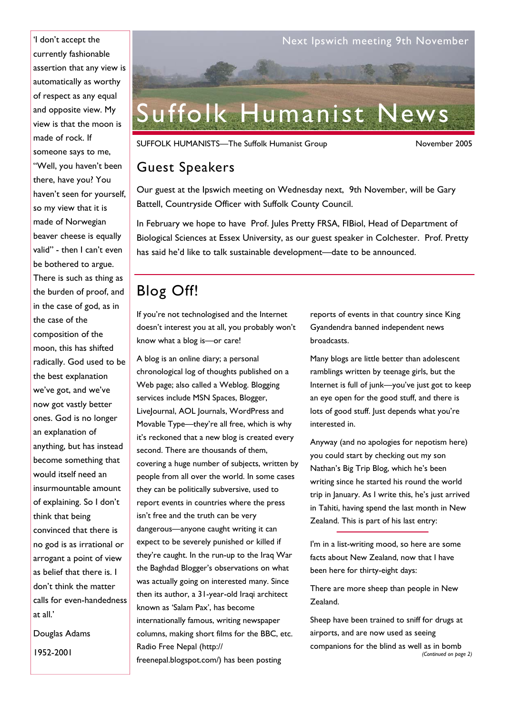currently fashionable assertion that any view is automatically as worthy of respect as any equal and opposite view. My view is that the moon is made of rock. If someone says to me, "Well, you haven't been there, have you? You haven't seen for yourself, so my view that it is made of Norwegian beaver cheese is equally valid" - then I can't even be bothered to argue. There is such as thing as the burden of proof, and in the case of god, as in the case of the composition of the moon, this has shifted radically. God used to be the best explanation we've got, and we've now got vastly better ones. God is no longer an explanation of anything, but has instead become something that would itself need an insurmountable amount of explaining. So I don't think that being convinced that there is no god is as irrational or arrogant a point of view as belief that there is. I don't think the matter calls for even-handedness at all.'

Douglas Adams 1952-2001



SUFFOLK HUMANISTS—The Suffolk Humanist Group November 2005

### Guest Speakers

Our guest at the Ipswich meeting on Wednesday next, 9th November, will be Gary Battell, Countryside Officer with Suffolk County Council.

In February we hope to have Prof. Jules Pretty FRSA, FIBiol, Head of Department of Biological Sciences at Essex University, as our guest speaker in Colchester. Prof. Pretty has said he'd like to talk sustainable development—date to be announced.

# Blog Off!

If you're not technologised and the Internet doesn't interest you at all, you probably won't know what a blog is—or care!

A blog is an online diary; a personal chronological log of thoughts published on a Web page; also called a Weblog. Blogging services include MSN Spaces, Blogger, LiveJournal, AOL Journals, WordPress and Movable Type—they're all free, which is why it's reckoned that a new blog is created every second. There are thousands of them, covering a huge number of subjects, written by people from all over the world. In some cases they can be politically subversive, used to report events in countries where the press isn't free and the truth can be very dangerous—anyone caught writing it can expect to be severely punished or killed if they're caught. In the run-up to the Iraq War the Baghdad Blogger's observations on what was actually going on interested many. Since then its author, a 31-year-old Iraqi architect known as 'Salam Pax', has become internationally famous, writing newspaper columns, making short films for the BBC, etc. Radio Free Nepal (http:// freenepal.blogspot.com/) has been posting

reports of events in that country since King Gyandendra banned independent news broadcasts.

Many blogs are little better than adolescent ramblings written by teenage girls, but the Internet is full of junk—you've just got to keep an eye open for the good stuff, and there is lots of good stuff. Just depends what you're interested in.

Anyway (and no apologies for nepotism here) you could start by checking out my son Nathan's Big Trip Blog, which he's been writing since he started his round the world trip in January. As I write this, he's just arrived in Tahiti, having spend the last month in New Zealand. This is part of his last entry:

I'm in a list-writing mood, so here are some facts about New Zealand, now that I have been here for thirty-eight days:

There are more sheep than people in New Zealand.

Sheep have been trained to sniff for drugs at airports, and are now used as seeing companions for the blind as well as in bomb *(Continued on page 2)*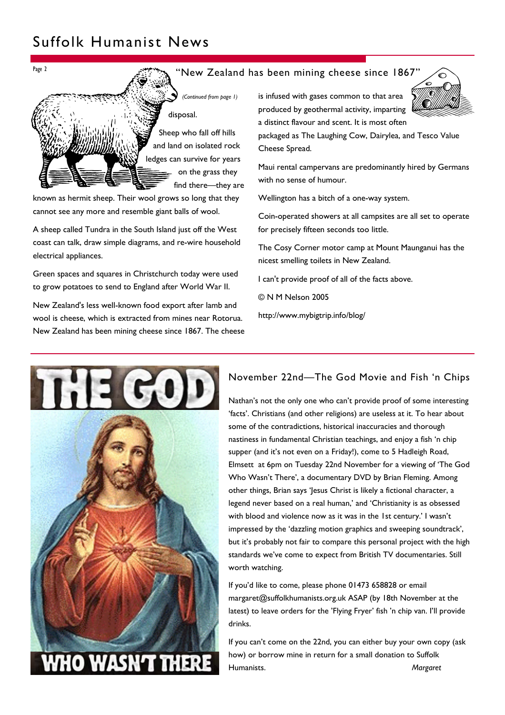## Suffolk Humanist News



known as hermit sheep. Their wool grows so long that they cannot see any more and resemble giant balls of wool.

A sheep called Tundra in the South Island just off the West coast can talk, draw simple diagrams, and re-wire household electrical appliances.

Green spaces and squares in Christchurch today were used to grow potatoes to send to England after World War II.

New Zealand's less well-known food export after lamb and wool is cheese, which is extracted from mines near Rotorua. New Zealand has been mining cheese since 1867. The cheese

is infused with gases common to that area produced by geothermal activity, imparting a distinct flavour and scent. It is most often

packaged as The Laughing Cow, Dairylea, and Tesco Value Cheese Spread.

Maui rental campervans are predominantly hired by Germans with no sense of humour.

Wellington has a bitch of a one-way system.

Coin-operated showers at all campsites are all set to operate for precisely fifteen seconds too little.

The Cosy Corner motor camp at Mount Maunganui has the nicest smelling toilets in New Zealand.

I can't provide proof of all of the facts above.

© N M Nelson 2005

http://www.mybigtrip.info/blog/



#### November 22nd—The God Movie and Fish 'n Chips

Nathan's not the only one who can't provide proof of some interesting 'facts'. Christians (and other religions) are useless at it. To hear about some of the contradictions, historical inaccuracies and thorough nastiness in fundamental Christian teachings, and enjoy a fish 'n chip supper (and it's not even on a Friday!), come to 5 Hadleigh Road, Elmsett at 6pm on Tuesday 22nd November for a viewing of 'The God Who Wasn't There', a documentary DVD by Brian Fleming. Among other things, Brian says 'Jesus Christ is likely a fictional character, a legend never based on a real human,' and 'Christianity is as obsessed with blood and violence now as it was in the 1st century.' I wasn't impressed by the 'dazzling motion graphics and sweeping soundtrack', but it's probably not fair to compare this personal project with the high standards we've come to expect from British TV documentaries. Still worth watching.

If you'd like to come, please phone 01473 658828 or email margaret@suffolkhumanists.org.uk ASAP (by 18th November at the latest) to leave orders for the 'Flying Fryer' fish 'n chip van. I'll provide drinks.

If you can't come on the 22nd, you can either buy your own copy (ask how) or borrow mine in return for a small donation to Suffolk Humanists. *Margaret*

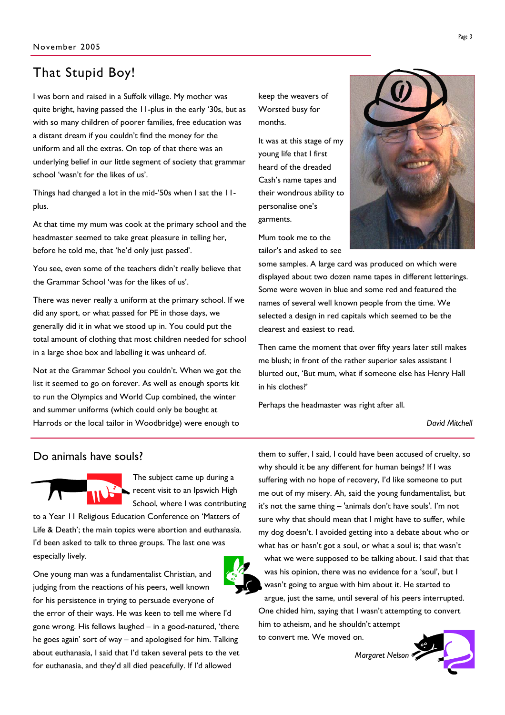### That Stupid Boy!

I was born and raised in a Suffolk village. My mother was quite bright, having passed the 11-plus in the early '30s, but as with so many children of poorer families, free education was a distant dream if you couldn't find the money for the uniform and all the extras. On top of that there was an underlying belief in our little segment of society that grammar school 'wasn't for the likes of us'.

Things had changed a lot in the mid-'50s when I sat the 11 plus.

At that time my mum was cook at the primary school and the headmaster seemed to take great pleasure in telling her, before he told me, that 'he'd only just passed'.

You see, even some of the teachers didn't really believe that the Grammar School 'was for the likes of us'.

There was never really a uniform at the primary school. If we did any sport, or what passed for PE in those days, we generally did it in what we stood up in. You could put the total amount of clothing that most children needed for school in a large shoe box and labelling it was unheard of.

Not at the Grammar School you couldn't. When we got the list it seemed to go on forever. As well as enough sports kit to run the Olympics and World Cup combined, the winter and summer uniforms (which could only be bought at Harrods or the local tailor in Woodbridge) were enough to

keep the weavers of Worsted busy for months.

It was at this stage of my young life that I first heard of the dreaded Cash's name tapes and their wondrous ability to personalise one's garments.

Mum took me to the tailor's and asked to see



some samples. A large card was produced on which were displayed about two dozen name tapes in different letterings. Some were woven in blue and some red and featured the names of several well known people from the time. We selected a design in red capitals which seemed to be the clearest and easiest to read.

Then came the moment that over fifty years later still makes me blush; in front of the rather superior sales assistant I blurted out, 'But mum, what if someone else has Henry Hall in his clothes?'

Perhaps the headmaster was right after all.

*David Mitchell* 

#### Do animals have souls?



The subject came up during a recent visit to an Ipswich High School, where I was contributing

to a Year 11 Religious Education Conference on 'Matters of Life & Death'; the main topics were abortion and euthanasia. I'd been asked to talk to three groups. The last one was especially lively.



them to suffer, I said, I could have been accused of cruelty, so why should it be any different for human beings? If I was suffering with no hope of recovery, I'd like someone to put me out of my misery. Ah, said the young fundamentalist, but it's not the same thing – 'animals don't have souls'. I'm not sure why that should mean that I might have to suffer, while my dog doesn't. I avoided getting into a debate about who or what has or hasn't got a soul, or what a soul is; that wasn't what we were supposed to be talking about. I said that that was his opinion, there was no evidence for a 'soul', but I

wasn't going to argue with him about it. He started to argue, just the same, until several of his peers interrupted. One chided him, saying that I wasn't attempting to convert him to atheism, and he shouldn't attempt to convert me. We moved on.

*Margaret Nelson*